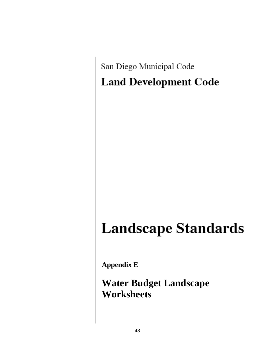San Diego Municipal Code **Land Development Code** 

# **Landscape Standards**

**Appendix E**

**Water Budget Landscape Worksheets**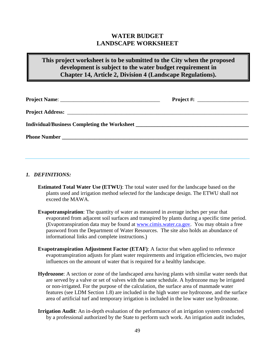# **WATER BUDGET LANDSCAPE WORKSHEET**

# **This project worksheet is to be submitted to the City when the proposed development is subject to the water budget requirement in Chapter 14, Article 2, Division 4 (Landscape Regulations).**

|                                              | $Project #: ____________$ |  |
|----------------------------------------------|---------------------------|--|
|                                              |                           |  |
| Individual/Business Completing the Worksheet |                           |  |
|                                              |                           |  |
|                                              |                           |  |

#### *1. DEFINITIONS:*

- **Estimated Total Water Use (ETWU)**: The total water used for the landscape based on the plants used and irrigation method selected for the landscape design. The ETWU shall not exceed the MAWA.
- **Evapotranspiration**: The quantity of water as measured in average inches per year that evaporated from adjacent soil surfaces and transpired by plants during a specific time period. (Evapotranspiration data may be found at [www.cimis.water.ca.gov.](http://www.cimis.water.ca.gov/) You may obtain a free password from the Department of Water Resources. The site also holds an abundance of informational links and complete instructions.)
- **Evapotranspiration Adjustment Factor (ETAF):** A factor that when applied to reference evapotranspiration adjusts for plant water requirements and irrigation efficiencies, two major influences on the amount of water that is required for a healthy landscape.
- **Hydrozone**: A section or zone of the landscaped area having plants with similar water needs that are served by a valve or set of valves with the same schedule. A hydrozone may be irrigated or non-irrigated. For the purpose of the calculation, the surface area of manmade water features (see LDM Section 1.8) are included in the high water use hydrozone, and the surface area of artificial turf and temporary irrigation is included in the low water use hydrozone.
- **Irrigation Audit**: An in-depth evaluation of the performance of an irrigation system conducted by a professional authorized by the State to perform such work. An irrigation audit includes,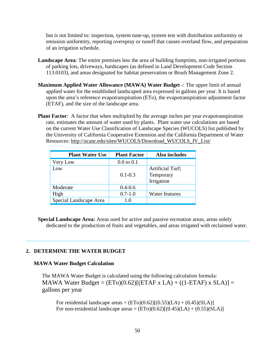but is not limited to: inspection, system tune-up, system test with distribution uniformity or emission uniformity, reporting overspray or runoff that causes overland flow, and preparation of an irrigation schedule.

- **Landscape Area**: The entire premises less the area of building footprints, non-irrigated portions of parking lots, driveways, hardscapes (as defined in Land Development Code Section 113.0103), and areas designated for habitat preservation or Brush Management Zone 2.
- **Maximum Applied Water Allowance (MAWA) Water Budget -**: The upper limit of annual applied water for the established landscaped area expressed in gallons per year. It is based upon the area's reference evapotranspiration (ETo), the evapotranspiration adjustment factor (ETAF), and the size of the landscape area.
- **Plant Factor:** A factor that when multiplied by the average inches per year evapotranspiration rate, estimates the amount of water used by plants. Plant water use calculations are based on the current Water Use Classification of Landscape Species (WUCOLS) list published by the University of California Cooperative Extension and the California Department of Water Resources: [http://ucanr.edu/sites/WUCOLS/Download\\_WUCOLS\\_IV\\_List/](http://ucanr.edu/sites/WUCOLS/Download_WUCOLS_IV_List/)

| <b>Plant Water Use</b> | <b>Plant Factor</b> | Also includes                                      |
|------------------------|---------------------|----------------------------------------------------|
| Very Low               | $0.0$ to $0.1$      |                                                    |
| Low                    | $0.1 - 0.3$         | <b>Artificial Turf;</b><br>Temporary<br>Irrigation |
| Moderate               | $0.4 - 0.6$         |                                                    |
| High                   | $0.7 - 1.0$         | Water features                                     |
| Special Landscape Area | 1.0                 |                                                    |

**Special Landscape Area:** Areas used for active and passive recreation areas, areas solely dedicated to the production of fruits and vegetables, and areas irrigated with reclaimed water.

#### **2. DETERMINE THE WATER BUDGET**

#### **MAWA Water Budget Calculation**

The MAWA Water Budget is calculated using the following calculation formula: MAWA Water Budget =  $(ETo)(0.62)$ [ $(ETAF \times LA) + ((1-ETAF) \times SLA)$ ] = gallons per year

For residential landscape areas =  $(ETo)(0.62)[(0.55)(LA) + (0.45)(SLA)]$ For non-residential landscape areas =  $(ETo)(0.62)[(0.45)(LA) + (0.55)(SLA)]$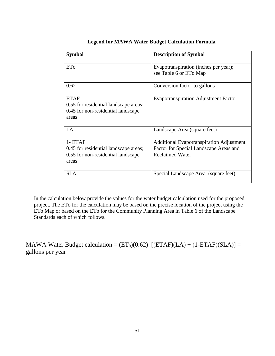| <b>Symbol</b>                                                                                       | <b>Description of Symbol</b>                                                                                        |
|-----------------------------------------------------------------------------------------------------|---------------------------------------------------------------------------------------------------------------------|
| ETo                                                                                                 | Evapotranspiration (inches per year);<br>see Table 6 or ETo Map                                                     |
| 0.62                                                                                                | Conversion factor to gallons                                                                                        |
| <b>ETAF</b><br>0.55 for residential landscape areas;<br>0.45 for non-residential landscape<br>areas | <b>Evapotranspiration Adjustment Factor</b>                                                                         |
| LA                                                                                                  | Landscape Area (square feet)                                                                                        |
| $1 - ETAF$<br>0.45 for residential landscape areas;<br>0.55 for non-residential landscape<br>areas  | <b>Additional Evapotranspiration Adjustment</b><br>Factor for Special Landscape Areas and<br><b>Reclaimed Water</b> |
| <b>SLA</b>                                                                                          | Special Landscape Area (square feet)                                                                                |

#### **Legend for MAWA Water Budget Calculation Formula**

In the calculation below provide the values for the water budget calculation used for the proposed project. The ETo for the calculation may be based on the precise location of the project using the ETo Map or based on the ETo for the Community Planning Area in Table 6 of the Landscape Standards each of which follows.

MAWA Water Budget calculation =  $(ET<sub>0</sub>)(0.62)$  [(ETAF)(LA) + (1-ETAF)(SLA)] = gallons per year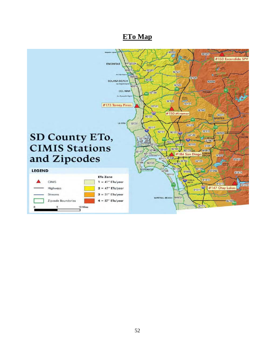# **ETo Map**

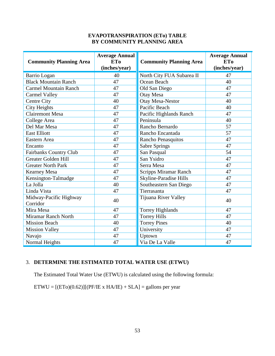#### **EVAPOTRANSPIRATION (ETo) TABLE BY COMMUNITY PLANNING AREA**

| <b>Community Planning Area</b>     | <b>Average Annual</b><br><b>ETo</b><br>(inches/year) | <b>Community Planning Area</b> | <b>Average Annual</b><br><b>ETo</b><br>(inches/year) |
|------------------------------------|------------------------------------------------------|--------------------------------|------------------------------------------------------|
| Barrio Logan                       | 40                                                   | North City FUA Subarea II      | 47                                                   |
| <b>Black Mountain Ranch</b>        | 47                                                   | Ocean Beach                    | 40                                                   |
| <b>Carmel Mountain Ranch</b>       | 47                                                   | Old San Diego                  | 47                                                   |
| <b>Carmel Valley</b>               | 47                                                   | Otay Mesa                      | 47                                                   |
| Centre City                        | 40                                                   | <b>Otay Mesa-Nestor</b>        | 40                                                   |
| <b>City Heights</b>                | 47                                                   | Pacific Beach                  | 40                                                   |
| <b>Clairemont Mesa</b>             | 47                                                   | Pacific Highlands Ranch        | 47                                                   |
| College Area                       | 47                                                   | Peninsula                      | 40                                                   |
| Del Mar Mesa                       | 47                                                   | Rancho Bernardo                | 57                                                   |
| <b>East Elliott</b>                | 47                                                   | Rancho Encantada               | 57                                                   |
| Eastern Area                       | 47                                                   | Rancho Penasquitos             | 47                                                   |
| Encanto                            | 47                                                   | <b>Sabre Springs</b>           | 47                                                   |
| <b>Fairbanks Country Club</b>      | 47                                                   | San Pasqual                    | 54                                                   |
| <b>Greater Golden Hill</b>         | 47                                                   | San Ysidro                     | 47                                                   |
| <b>Greater North Park</b>          | 47                                                   | Serra Mesa                     | 47                                                   |
| <b>Kearney Mesa</b>                | 47                                                   | <b>Scripps Miramar Ranch</b>   | 47                                                   |
| Kensington-Talmadge                | 47                                                   | Skyline-Paradise Hills         | 47                                                   |
| La Jolla                           | 40                                                   | Southeastern San Diego         | 47                                                   |
| Linda Vista                        | 47                                                   | Tierrasanta                    | 47                                                   |
| Midway-Pacific Highway<br>Corridor | 40                                                   | Tijuana River Valley           | 40                                                   |
| Mira Mesa                          | 47                                                   | Torrey Highlands               | 47                                                   |
| Miramar Ranch North                | 47                                                   | <b>Torrey Hills</b>            | 47                                                   |
| <b>Mission Beach</b>               | 40                                                   | <b>Torrey Pines</b>            | 40                                                   |
| <b>Mission Valley</b>              | 47                                                   | University                     | 47                                                   |
| Navajo                             | 47                                                   | Uptown                         | 47                                                   |
| Normal Heights                     | 47                                                   | Via De La Valle                | 47                                                   |

## 3. **DETERMINE THE ESTIMATED TOTAL WATER USE (ETWU)**

The Estimated Total Water Use (ETWU) is calculated using the following formula:

 $ETWU = [(ETo)(0.62)][(PF/IE \times HA/IE) + SLA] =$  gallons per year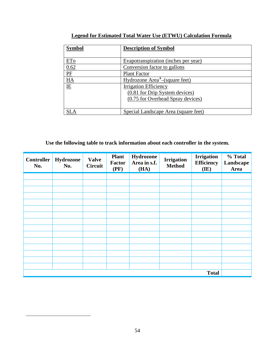| Symbol                                                                             | <b>Description of Symbol</b>               |  |  |  |
|------------------------------------------------------------------------------------|--------------------------------------------|--|--|--|
|                                                                                    |                                            |  |  |  |
| ET <sub>O</sub>                                                                    | Evapotranspiration (inches per year)       |  |  |  |
| 0.62                                                                               | Conversion factor to gallons               |  |  |  |
|                                                                                    | <b>Plant Factor</b>                        |  |  |  |
| $\begin{tabular}{c} \hline P\\ \hline HA\\ \hline \hline H\\ \hline \end{tabular}$ | Hydrozone Area <sup>3</sup> -(square feet) |  |  |  |
|                                                                                    | <b>Irrigation Efficiency</b>               |  |  |  |
|                                                                                    | (0.81 for Drip System devices)             |  |  |  |
|                                                                                    | (0.75 for Overhead Spray devices)          |  |  |  |
|                                                                                    |                                            |  |  |  |
|                                                                                    | Special Landscape Area (square feet)       |  |  |  |

## **Legend for Estimated Total Water Use (ETWU) Calculation Formula**

**Use the following table to track information about each controller in the system.**

| <b>Controller</b><br>No. | Hydrozone<br>No. | <b>Valve</b><br><b>Circuit</b> | <b>Plant</b><br><b>Factor</b><br>(PF) | Hydrozone<br>Area in s.f.<br>(HA) | <b>Irrigation</b><br><b>Method</b> | <b>Irrigation</b><br><b>Efficiency</b><br>(IE) | % Total<br>Landscape<br>Area |
|--------------------------|------------------|--------------------------------|---------------------------------------|-----------------------------------|------------------------------------|------------------------------------------------|------------------------------|
|                          |                  |                                |                                       |                                   |                                    |                                                |                              |
|                          |                  |                                |                                       |                                   |                                    |                                                |                              |
|                          |                  |                                |                                       |                                   |                                    |                                                |                              |
|                          |                  |                                |                                       |                                   |                                    |                                                |                              |
|                          |                  |                                |                                       |                                   |                                    |                                                |                              |
|                          |                  |                                |                                       |                                   |                                    |                                                |                              |
|                          |                  |                                |                                       |                                   |                                    |                                                |                              |
|                          |                  |                                |                                       |                                   |                                    |                                                |                              |
|                          |                  |                                |                                       |                                   |                                    |                                                |                              |
|                          |                  |                                |                                       |                                   |                                    |                                                |                              |
|                          |                  |                                |                                       |                                   |                                    |                                                |                              |
|                          |                  |                                |                                       |                                   |                                    |                                                |                              |
|                          |                  |                                |                                       |                                   |                                    |                                                |                              |
|                          |                  |                                |                                       |                                   |                                    |                                                |                              |
|                          |                  |                                |                                       |                                   |                                    |                                                |                              |
| <b>Total</b>             |                  |                                |                                       |                                   |                                    |                                                |                              |

<span id="page-6-0"></span> $\overline{a}$